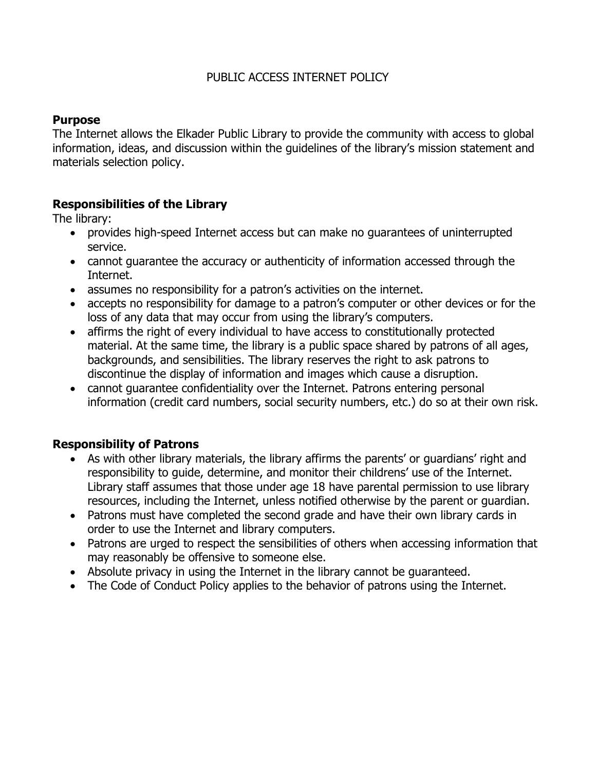# PUBLIC ACCESS INTERNET POLICY

# **Purpose**

The Internet allows the Elkader Public Library to provide the community with access to global information, ideas, and discussion within the guidelines of the library's mission statement and materials selection policy.

# **Responsibilities of the Library**

The library:

- provides high-speed Internet access but can make no guarantees of uninterrupted service.
- cannot guarantee the accuracy or authenticity of information accessed through the Internet.
- assumes no responsibility for a patron's activities on the internet.
- accepts no responsibility for damage to a patron's computer or other devices or for the loss of any data that may occur from using the library's computers.
- affirms the right of every individual to have access to constitutionally protected material. At the same time, the library is a public space shared by patrons of all ages, backgrounds, and sensibilities. The library reserves the right to ask patrons to discontinue the display of information and images which cause a disruption.
- cannot guarantee confidentiality over the Internet. Patrons entering personal information (credit card numbers, social security numbers, etc.) do so at their own risk.

# **Responsibility of Patrons**

- As with other library materials, the library affirms the parents' or guardians' right and responsibility to guide, determine, and monitor their childrens' use of the Internet. Library staff assumes that those under age 18 have parental permission to use library resources, including the Internet, unless notified otherwise by the parent or guardian.
- Patrons must have completed the second grade and have their own library cards in order to use the Internet and library computers.
- Patrons are urged to respect the sensibilities of others when accessing information that may reasonably be offensive to someone else.
- Absolute privacy in using the Internet in the library cannot be guaranteed.
- The Code of Conduct Policy applies to the behavior of patrons using the Internet.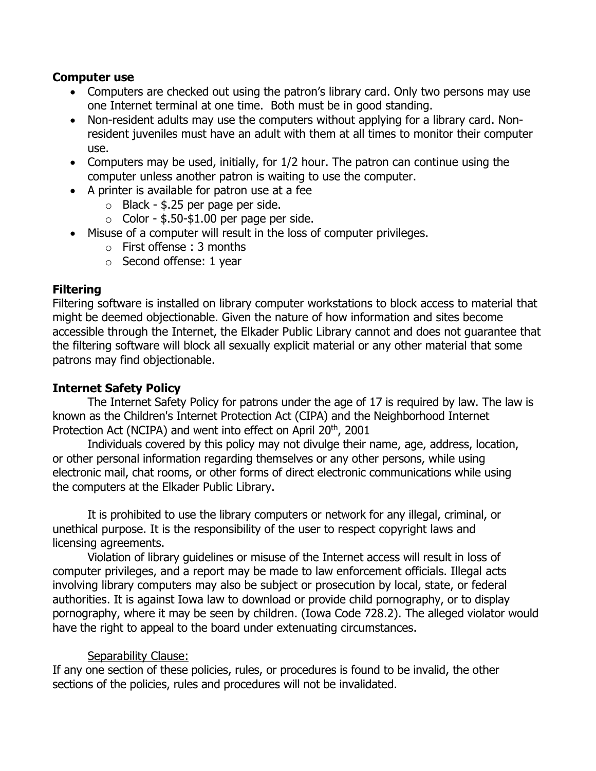### **Computer use**

- Computers are checked out using the patron's library card. Only two persons may use one Internet terminal at one time. Both must be in good standing.
- Non-resident adults may use the computers without applying for a library card. Nonresident juveniles must have an adult with them at all times to monitor their computer use.
- Computers may be used, initially, for 1/2 hour. The patron can continue using the computer unless another patron is waiting to use the computer.
- A printer is available for patron use at a fee
	- $\circ$  Black \$.25 per page per side.
	- $\circ$  Color \$.50-\$1.00 per page per side.
- Misuse of a computer will result in the loss of computer privileges.
	- o First offense : 3 months
	- o Second offense: 1 year

## **Filtering**

Filtering software is installed on library computer workstations to block access to material that might be deemed objectionable. Given the nature of how information and sites become accessible through the Internet, the Elkader Public Library cannot and does not guarantee that the filtering software will block all sexually explicit material or any other material that some patrons may find objectionable.

### **Internet Safety Policy**

The Internet Safety Policy for patrons under the age of 17 is required by law. The law is known as the Children's Internet Protection Act (CIPA) and the Neighborhood Internet Protection Act (NCIPA) and went into effect on April 20<sup>th</sup>, 2001

Individuals covered by this policy may not divulge their name, age, address, location, or other personal information regarding themselves or any other persons, while using electronic mail, chat rooms, or other forms of direct electronic communications while using the computers at the Elkader Public Library.

It is prohibited to use the library computers or network for any illegal, criminal, or unethical purpose. It is the responsibility of the user to respect copyright laws and licensing agreements.

Violation of library guidelines or misuse of the Internet access will result in loss of computer privileges, and a report may be made to law enforcement officials. Illegal acts involving library computers may also be subject or prosecution by local, state, or federal authorities. It is against Iowa law to download or provide child pornography, or to display pornography, where it may be seen by children. (Iowa Code 728.2). The alleged violator would have the right to appeal to the board under extenuating circumstances.

# Separability Clause:

If any one section of these policies, rules, or procedures is found to be invalid, the other sections of the policies, rules and procedures will not be invalidated.